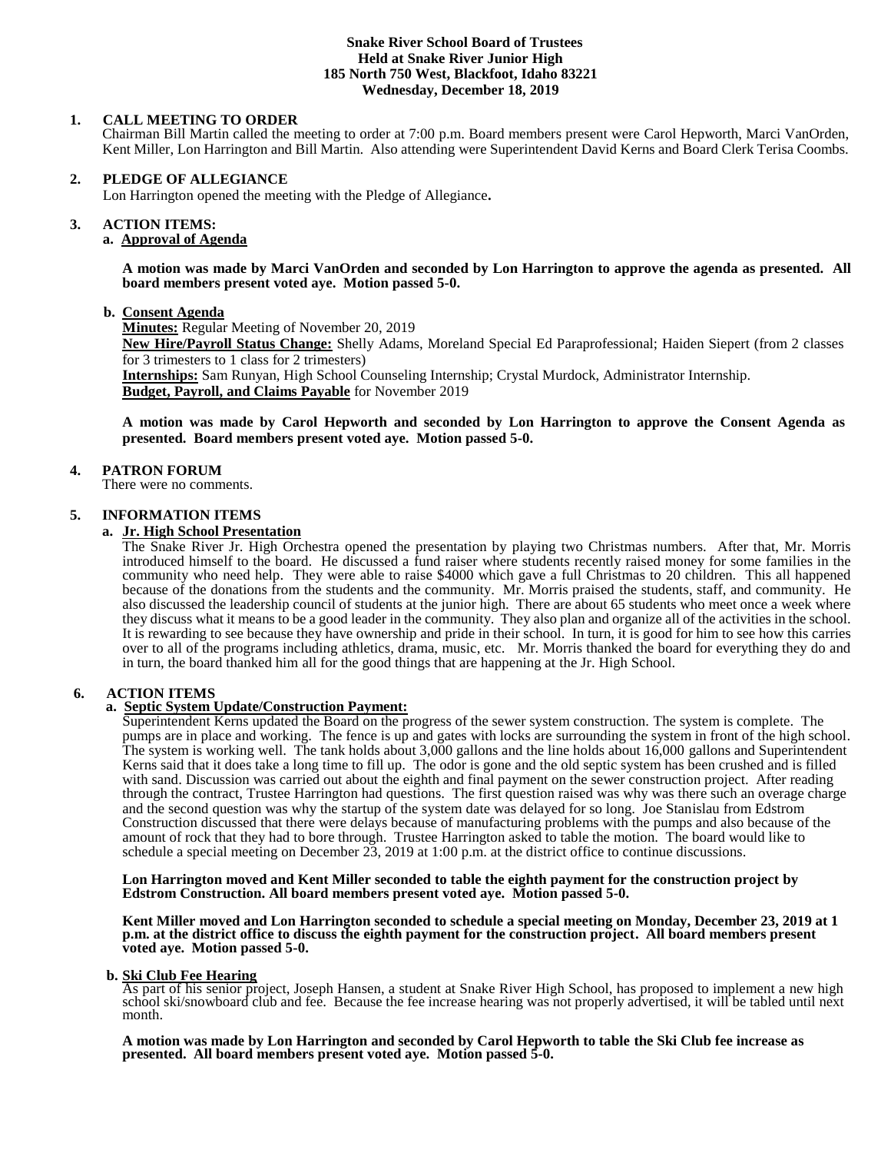## **Snake River School Board of Trustees Held at Snake River Junior High 185 North 750 West, Blackfoot, Idaho 83221 Wednesday, December 18, 2019**

## **1. CALL MEETING TO ORDER**

Chairman Bill Martin called the meeting to order at 7:00 p.m. Board members present were Carol Hepworth, Marci VanOrden, Kent Miller, Lon Harrington and Bill Martin. Also attending were Superintendent David Kerns and Board Clerk Terisa Coombs.

## **2. PLEDGE OF ALLEGIANCE**

Lon Harrington opened the meeting with the Pledge of Allegiance**.** 

#### 3. **3. ACTION ITEMS:**

#### **a. Approval of Agenda**

**A motion was made by Marci VanOrden and seconded by Lon Harrington to approve the agenda as presented. All board members present voted aye. Motion passed 5-0.**

#### **b. Consent Agenda**

**Minutes:** Regular Meeting of November 20, 2019

**New Hire/Payroll Status Change:** Shelly Adams, Moreland Special Ed Paraprofessional; Haiden Siepert (from 2 classes for 3 trimesters to 1 class for 2 trimesters)

**Internships:** Sam Runyan, High School Counseling Internship; Crystal Murdock, Administrator Internship. **Budget, Payroll, and Claims Payable** for November 2019

**A motion was made by Carol Hepworth and seconded by Lon Harrington to approve the Consent Agenda as presented. Board members present voted aye. Motion passed 5-0.**

#### **4. PATRON FORUM**

There were no comments.

#### **5. INFORMATION ITEMS**

#### **a. Jr. High School Presentation**

The Snake River Jr. High Orchestra opened the presentation by playing two Christmas numbers. After that, Mr. Morris introduced himself to the board. He discussed a fund raiser where students recently raised money for some families in the community who need help. They were able to raise \$4000 which gave a full Christmas to 20 children. This all happened because of the donations from the students and the community. Mr. Morris praised the students, staff, and community. He also discussed the leadership council of students at the junior high. There are about 65 students who meet once a week where they discuss what it means to be a good leader in the community. They also plan and organize all of the activities in the school. It is rewarding to see because they have ownership and pride in their school. In turn, it is good for him to see how this carries over to all of the programs including athletics, drama, music, etc. Mr. Morris thanked the board for everything they do and in turn, the board thanked him all for the good things that are happening at the Jr. High School.

#### **6. ACTION ITEMS**

# **a. Septic System Update/Construction Payment:**

Superintendent Kerns updated the Board on the progress of the sewer system construction. The system is complete. The pumps are in place and working. The fence is up and gates with locks are surrounding the system in front of the high school. The system is working well. The tank holds about 3,000 gallons and the line holds about 16,000 gallons and Superintendent Kerns said that it does take a long time to fill up. The odor is gone and the old septic system has been crushed and is filled with sand. Discussion was carried out about the eighth and final payment on the sewer construction project. After reading through the contract, Trustee Harrington had questions. The first question raised was why was there such an overage charge and the second question was why the startup of the system date was delayed for so long. Joe Stanislau from Edstrom Construction discussed that there were delays because of manufacturing problems with the pumps and also because of the amount of rock that they had to bore through. Trustee Harrington asked to table the motion. The board would like to schedule a special meeting on December 23, 2019 at 1:00 p.m. at the district office to continue discussions.

#### **Lon Harrington moved and Kent Miller seconded to table the eighth payment for the construction project by Edstrom Construction. All board members present voted aye. Motion passed 5-0.**

**Kent Miller moved and Lon Harrington seconded to schedule a special meeting on Monday, December 23, 2019 at 1 p.m. at the district office to discuss the eighth payment for the construction project. All board members present voted aye. Motion passed 5-0.**

## **b. Ski Club Fee Hearing**

As part of his senior project, Joseph Hansen, a student at Snake River High School, has proposed to implement a new high school ski/snowboard club and fee. Because the fee increase hearing was not properly advertised, it will be tabled until next month.

#### **A motion was made by Lon Harrington and seconded by Carol Hepworth to table the Ski Club fee increase as presented. All board members present voted aye. Motion passed 5-0.**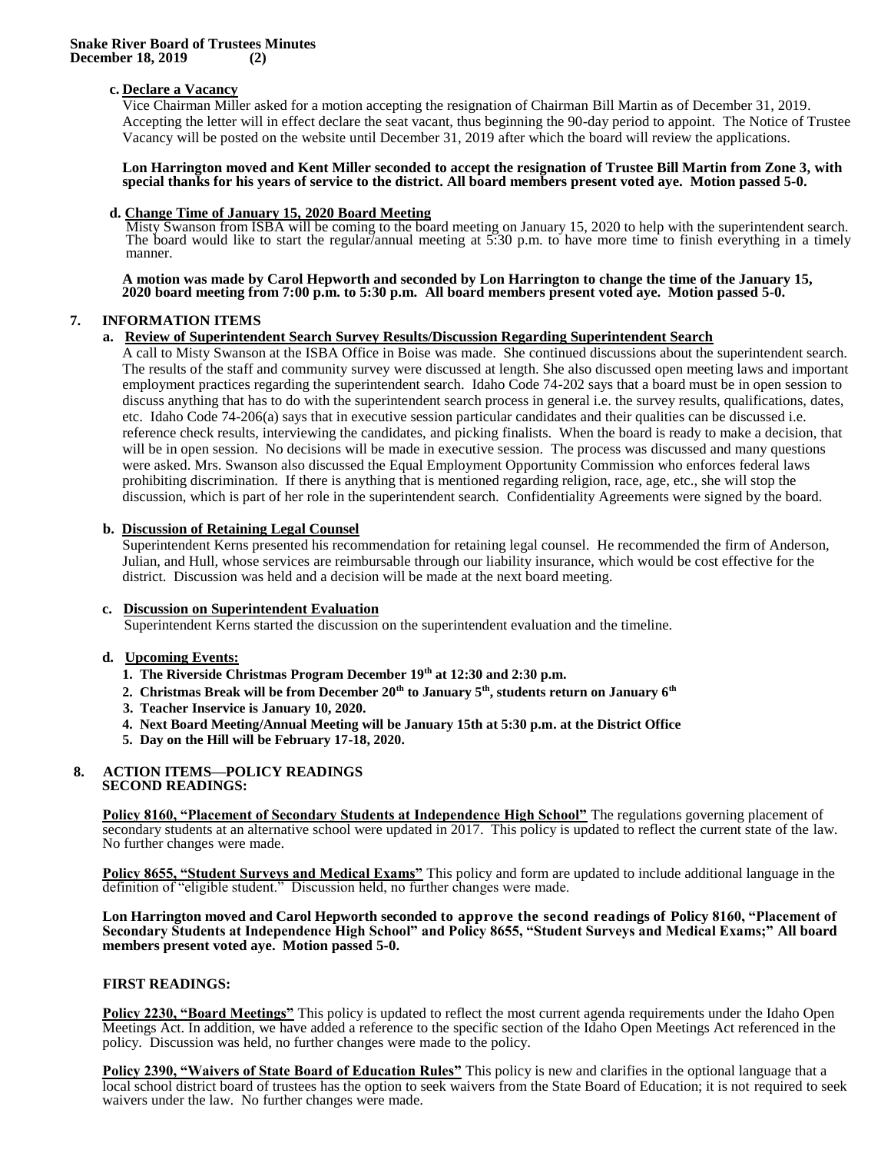# **c. Declare a Vacancy**

Vice Chairman Miller asked for a motion accepting the resignation of Chairman Bill Martin as of December 31, 2019. Accepting the letter will in effect declare the seat vacant, thus beginning the 90-day period to appoint. The Notice of Trustee Vacancy will be posted on the website until December 31, 2019 after which the board will review the applications.

#### **Lon Harrington moved and Kent Miller seconded to accept the resignation of Trustee Bill Martin from Zone 3, with special thanks for his years of service to the district. All board members present voted aye. Motion passed 5-0.**

#### **d. Change Time of January 15, 2020 Board Meeting**

Misty Swanson from ISBA will be coming to the board meeting on January 15, 2020 to help with the superintendent search. The board would like to start the regular/annual meeting at 5:30 p.m. to have more time to finish everything in a timely manner.

**A motion was made by Carol Hepworth and seconded by Lon Harrington to change the time of the January 15, 2020 board meeting from 7:00 p.m. to 5:30 p.m. All board members present voted aye. Motion passed 5-0.**

## **7. INFORMATION ITEMS**

#### **a. Review of Superintendent Search Survey Results/Discussion Regarding Superintendent Search**

A call to Misty Swanson at the ISBA Office in Boise was made. She continued discussions about the superintendent search. The results of the staff and community survey were discussed at length. She also discussed open meeting laws and important employment practices regarding the superintendent search. Idaho Code 74-202 says that a board must be in open session to discuss anything that has to do with the superintendent search process in general i.e. the survey results, qualifications, dates, etc. Idaho Code 74-206(a) says that in executive session particular candidates and their qualities can be discussed i.e. reference check results, interviewing the candidates, and picking finalists. When the board is ready to make a decision, that will be in open session. No decisions will be made in executive session. The process was discussed and many questions were asked. Mrs. Swanson also discussed the Equal Employment Opportunity Commission who enforces federal laws prohibiting discrimination. If there is anything that is mentioned regarding religion, race, age, etc., she will stop the discussion, which is part of her role in the superintendent search. Confidentiality Agreements were signed by the board.

#### **b. Discussion of Retaining Legal Counsel**

Superintendent Kerns presented his recommendation for retaining legal counsel. He recommended the firm of Anderson, Julian, and Hull, whose services are reimbursable through our liability insurance, which would be cost effective for the district. Discussion was held and a decision will be made at the next board meeting.

#### **c. Discussion on Superintendent Evaluation**

Superintendent Kerns started the discussion on the superintendent evaluation and the timeline.

## **d. Upcoming Events:**

- **1. The Riverside Christmas Program December 19th at 12:30 and 2:30 p.m.**
- **2. Christmas Break will be from December 20th to January 5th, students return on January 6th**
- **3. Teacher Inservice is January 10, 2020.**
- **4. Next Board Meeting/Annual Meeting will be January 15th at 5:30 p.m. at the District Office**
- **5. Day on the Hill will be February 17-18, 2020.**

#### **8. ACTION ITEMS—POLICY READINGS SECOND READINGS:**

**Policy 8160, "Placement of Secondary Students at Independence High School"** The regulations governing placement of secondary students at an alternative school were updated in 2017. This policy is updated to reflect the current state of the law. No further changes were made.

**Policy 8655, "Student Surveys and Medical Exams"** This policy and form are updated to include additional language in the definition of "eligible student." Discussion held, no further changes were made.

**Lon Harrington moved and Carol Hepworth seconded to approve the second readings of Policy 8160, "Placement of Secondary Students at Independence High School" and Policy 8655, "Student Surveys and Medical Exams;" All board members present voted aye. Motion passed 5-0.**

### **FIRST READINGS:**

**Policy 2230, "Board Meetings"** This policy is updated to reflect the most current agenda requirements under the Idaho Open Meetings Act. In addition, we have added a reference to the specific section of the Idaho Open Meetings Act referenced in the policy. Discussion was held, no further changes were made to the policy.

**Policy 2390, "Waivers of State Board of Education Rules"** This policy is new and clarifies in the optional language that a local school district board of trustees has the option to seek waivers from the State Board of Education; it is not required to seek waivers under the law. No further changes were made.